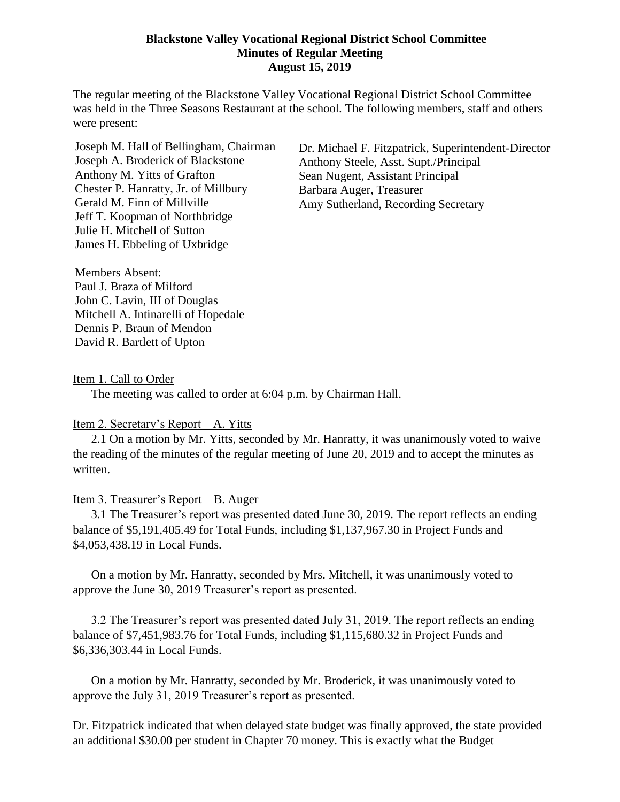### **Blackstone Valley Vocational Regional District School Committee Minutes of Regular Meeting August 15, 2019**

The regular meeting of the Blackstone Valley Vocational Regional District School Committee was held in the Three Seasons Restaurant at the school. The following members, staff and others were present:

Joseph M. Hall of Bellingham, Chairman Joseph A. Broderick of Blackstone Anthony M. Yitts of Grafton Chester P. Hanratty, Jr. of Millbury Gerald M. Finn of Millville Jeff T. Koopman of Northbridge Julie H. Mitchell of Sutton James H. Ebbeling of Uxbridge

Dr. Michael F. Fitzpatrick, Superintendent-Director Anthony Steele, Asst. Supt./Principal Sean Nugent, Assistant Principal Barbara Auger, Treasurer Amy Sutherland, Recording Secretary

Members Absent: Paul J. Braza of Milford John C. Lavin, III of Douglas Mitchell A. Intinarelli of Hopedale Dennis P. Braun of Mendon David R. Bartlett of Upton

Item 1. Call to Order

The meeting was called to order at 6:04 p.m. by Chairman Hall.

#### Item 2. Secretary's Report – A. Yitts

2.1 On a motion by Mr. Yitts, seconded by Mr. Hanratty, it was unanimously voted to waive the reading of the minutes of the regular meeting of June 20, 2019 and to accept the minutes as written.

#### Item 3. Treasurer's Report – B. Auger

3.1 The Treasurer's report was presented dated June 30, 2019. The report reflects an ending balance of \$5,191,405.49 for Total Funds, including \$1,137,967.30 in Project Funds and \$4,053,438.19 in Local Funds.

On a motion by Mr. Hanratty, seconded by Mrs. Mitchell, it was unanimously voted to approve the June 30, 2019 Treasurer's report as presented.

3.2 The Treasurer's report was presented dated July 31, 2019. The report reflects an ending balance of \$7,451,983.76 for Total Funds, including \$1,115,680.32 in Project Funds and \$6,336,303.44 in Local Funds.

On a motion by Mr. Hanratty, seconded by Mr. Broderick, it was unanimously voted to approve the July 31, 2019 Treasurer's report as presented.

Dr. Fitzpatrick indicated that when delayed state budget was finally approved, the state provided an additional \$30.00 per student in Chapter 70 money. This is exactly what the Budget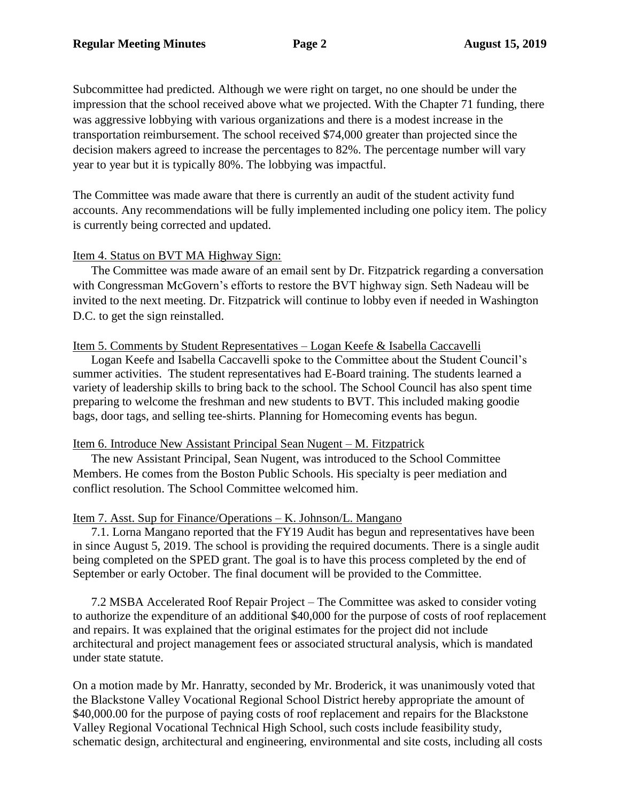Subcommittee had predicted. Although we were right on target, no one should be under the impression that the school received above what we projected. With the Chapter 71 funding, there was aggressive lobbying with various organizations and there is a modest increase in the transportation reimbursement. The school received \$74,000 greater than projected since the decision makers agreed to increase the percentages to 82%. The percentage number will vary year to year but it is typically 80%. The lobbying was impactful.

The Committee was made aware that there is currently an audit of the student activity fund accounts. Any recommendations will be fully implemented including one policy item. The policy is currently being corrected and updated.

### Item 4. Status on BVT MA Highway Sign:

The Committee was made aware of an email sent by Dr. Fitzpatrick regarding a conversation with Congressman McGovern's efforts to restore the BVT highway sign. Seth Nadeau will be invited to the next meeting. Dr. Fitzpatrick will continue to lobby even if needed in Washington D.C. to get the sign reinstalled.

# Item 5. Comments by Student Representatives – Logan Keefe & Isabella Caccavelli

Logan Keefe and Isabella Caccavelli spoke to the Committee about the Student Council's summer activities. The student representatives had E-Board training. The students learned a variety of leadership skills to bring back to the school. The School Council has also spent time preparing to welcome the freshman and new students to BVT. This included making goodie bags, door tags, and selling tee-shirts. Planning for Homecoming events has begun.

### Item 6. Introduce New Assistant Principal Sean Nugent – M. Fitzpatrick

The new Assistant Principal, Sean Nugent, was introduced to the School Committee Members. He comes from the Boston Public Schools. His specialty is peer mediation and conflict resolution. The School Committee welcomed him.

### Item 7. Asst. Sup for Finance/Operations – K. Johnson/L. Mangano

7.1. Lorna Mangano reported that the FY19 Audit has begun and representatives have been in since August 5, 2019. The school is providing the required documents. There is a single audit being completed on the SPED grant. The goal is to have this process completed by the end of September or early October. The final document will be provided to the Committee.

7.2 MSBA Accelerated Roof Repair Project – The Committee was asked to consider voting to authorize the expenditure of an additional \$40,000 for the purpose of costs of roof replacement and repairs. It was explained that the original estimates for the project did not include architectural and project management fees or associated structural analysis, which is mandated under state statute.

On a motion made by Mr. Hanratty, seconded by Mr. Broderick, it was unanimously voted that the Blackstone Valley Vocational Regional School District hereby appropriate the amount of \$40,000.00 for the purpose of paying costs of roof replacement and repairs for the Blackstone Valley Regional Vocational Technical High School, such costs include feasibility study, schematic design, architectural and engineering, environmental and site costs, including all costs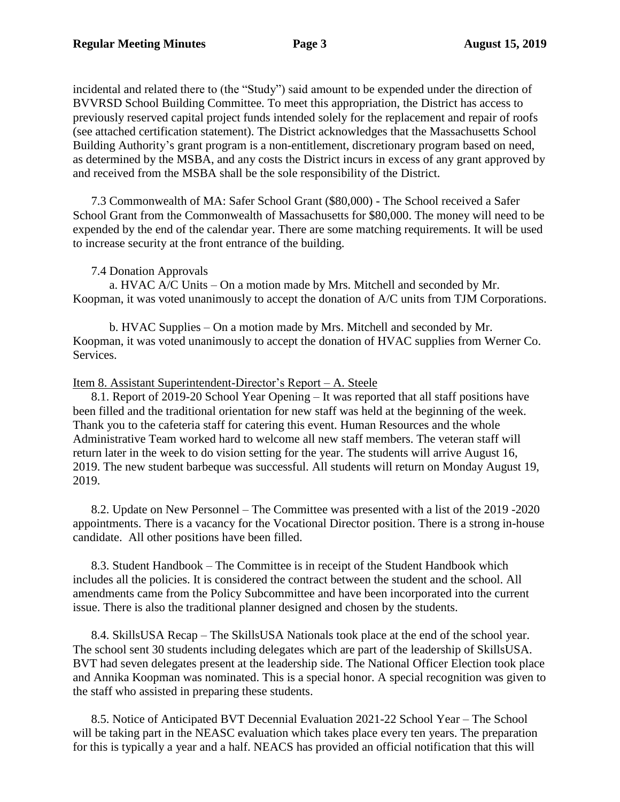incidental and related there to (the "Study") said amount to be expended under the direction of BVVRSD School Building Committee. To meet this appropriation, the District has access to previously reserved capital project funds intended solely for the replacement and repair of roofs (see attached certification statement). The District acknowledges that the Massachusetts School Building Authority's grant program is a non-entitlement, discretionary program based on need, as determined by the MSBA, and any costs the District incurs in excess of any grant approved by and received from the MSBA shall be the sole responsibility of the District.

7.3 Commonwealth of MA: Safer School Grant (\$80,000) - The School received a Safer School Grant from the Commonwealth of Massachusetts for \$80,000. The money will need to be expended by the end of the calendar year. There are some matching requirements. It will be used to increase security at the front entrance of the building.

# 7.4 Donation Approvals

a. HVAC A/C Units – On a motion made by Mrs. Mitchell and seconded by Mr. Koopman, it was voted unanimously to accept the donation of A/C units from TJM Corporations.

b. HVAC Supplies – On a motion made by Mrs. Mitchell and seconded by Mr. Koopman, it was voted unanimously to accept the donation of HVAC supplies from Werner Co. Services.

### Item 8. Assistant Superintendent-Director's Report – A. Steele

8.1. Report of 2019-20 School Year Opening – It was reported that all staff positions have been filled and the traditional orientation for new staff was held at the beginning of the week. Thank you to the cafeteria staff for catering this event. Human Resources and the whole Administrative Team worked hard to welcome all new staff members. The veteran staff will return later in the week to do vision setting for the year. The students will arrive August 16, 2019. The new student barbeque was successful. All students will return on Monday August 19, 2019.

8.2. Update on New Personnel – The Committee was presented with a list of the 2019 -2020 appointments. There is a vacancy for the Vocational Director position. There is a strong in-house candidate. All other positions have been filled.

8.3. Student Handbook – The Committee is in receipt of the Student Handbook which includes all the policies. It is considered the contract between the student and the school. All amendments came from the Policy Subcommittee and have been incorporated into the current issue. There is also the traditional planner designed and chosen by the students.

8.4. SkillsUSA Recap – The SkillsUSA Nationals took place at the end of the school year. The school sent 30 students including delegates which are part of the leadership of SkillsUSA. BVT had seven delegates present at the leadership side. The National Officer Election took place and Annika Koopman was nominated. This is a special honor. A special recognition was given to the staff who assisted in preparing these students.

8.5. Notice of Anticipated BVT Decennial Evaluation 2021-22 School Year – The School will be taking part in the NEASC evaluation which takes place every ten years. The preparation for this is typically a year and a half. NEACS has provided an official notification that this will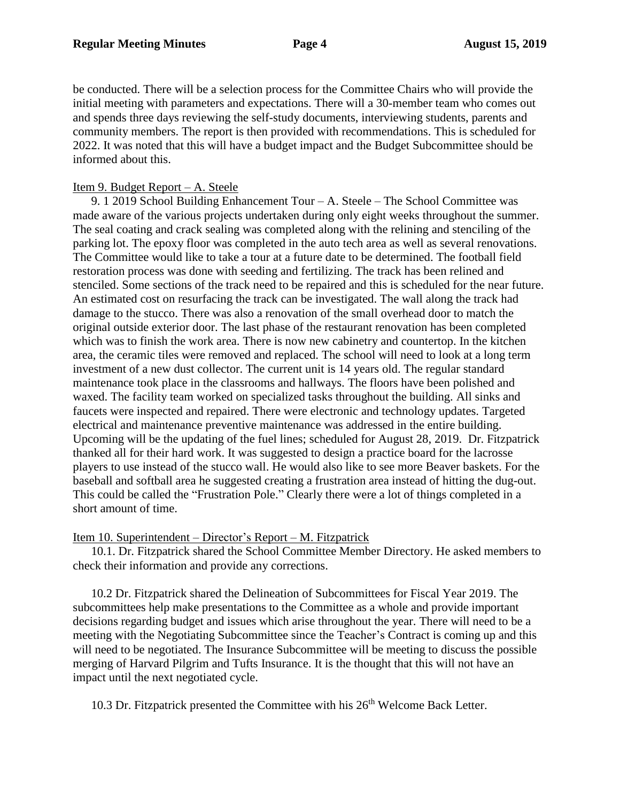be conducted. There will be a selection process for the Committee Chairs who will provide the initial meeting with parameters and expectations. There will a 30-member team who comes out and spends three days reviewing the self-study documents, interviewing students, parents and community members. The report is then provided with recommendations. This is scheduled for 2022. It was noted that this will have a budget impact and the Budget Subcommittee should be informed about this.

### Item 9. Budget Report – A. Steele

9. 1 2019 School Building Enhancement Tour – A. Steele – The School Committee was made aware of the various projects undertaken during only eight weeks throughout the summer. The seal coating and crack sealing was completed along with the relining and stenciling of the parking lot. The epoxy floor was completed in the auto tech area as well as several renovations. The Committee would like to take a tour at a future date to be determined. The football field restoration process was done with seeding and fertilizing. The track has been relined and stenciled. Some sections of the track need to be repaired and this is scheduled for the near future. An estimated cost on resurfacing the track can be investigated. The wall along the track had damage to the stucco. There was also a renovation of the small overhead door to match the original outside exterior door. The last phase of the restaurant renovation has been completed which was to finish the work area. There is now new cabinetry and countertop. In the kitchen area, the ceramic tiles were removed and replaced. The school will need to look at a long term investment of a new dust collector. The current unit is 14 years old. The regular standard maintenance took place in the classrooms and hallways. The floors have been polished and waxed. The facility team worked on specialized tasks throughout the building. All sinks and faucets were inspected and repaired. There were electronic and technology updates. Targeted electrical and maintenance preventive maintenance was addressed in the entire building. Upcoming will be the updating of the fuel lines; scheduled for August 28, 2019. Dr. Fitzpatrick thanked all for their hard work. It was suggested to design a practice board for the lacrosse players to use instead of the stucco wall. He would also like to see more Beaver baskets. For the baseball and softball area he suggested creating a frustration area instead of hitting the dug-out. This could be called the "Frustration Pole." Clearly there were a lot of things completed in a short amount of time.

Item 10. Superintendent – Director's Report – M. Fitzpatrick

10.1. Dr. Fitzpatrick shared the School Committee Member Directory. He asked members to check their information and provide any corrections.

10.2 Dr. Fitzpatrick shared the Delineation of Subcommittees for Fiscal Year 2019. The subcommittees help make presentations to the Committee as a whole and provide important decisions regarding budget and issues which arise throughout the year. There will need to be a meeting with the Negotiating Subcommittee since the Teacher's Contract is coming up and this will need to be negotiated. The Insurance Subcommittee will be meeting to discuss the possible merging of Harvard Pilgrim and Tufts Insurance. It is the thought that this will not have an impact until the next negotiated cycle.

10.3 Dr. Fitzpatrick presented the Committee with his 26<sup>th</sup> Welcome Back Letter.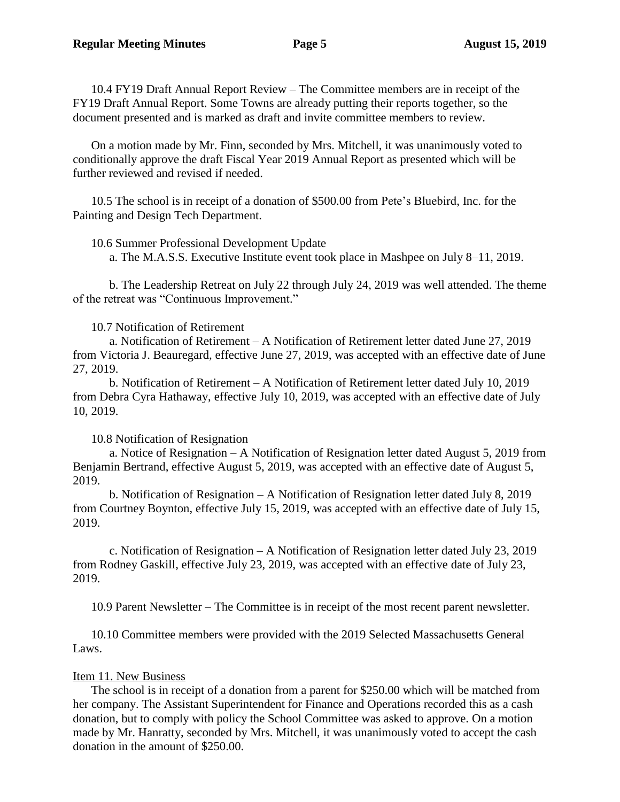10.4 FY19 Draft Annual Report Review – The Committee members are in receipt of the FY19 Draft Annual Report. Some Towns are already putting their reports together, so the document presented and is marked as draft and invite committee members to review.

On a motion made by Mr. Finn, seconded by Mrs. Mitchell, it was unanimously voted to conditionally approve the draft Fiscal Year 2019 Annual Report as presented which will be further reviewed and revised if needed.

10.5 The school is in receipt of a donation of \$500.00 from Pete's Bluebird, Inc. for the Painting and Design Tech Department.

10.6 Summer Professional Development Update

a. The M.A.S.S. Executive Institute event took place in Mashpee on July 8–11, 2019.

b. The Leadership Retreat on July 22 through July 24, 2019 was well attended. The theme of the retreat was "Continuous Improvement."

### 10.7 Notification of Retirement

 a. Notification of Retirement – A Notification of Retirement letter dated June 27, 2019 from Victoria J. Beauregard, effective June 27, 2019, was accepted with an effective date of June 27, 2019.

b. Notification of Retirement – A Notification of Retirement letter dated July 10, 2019 from Debra Cyra Hathaway, effective July 10, 2019, was accepted with an effective date of July 10, 2019.

# 10.8 Notification of Resignation

a. Notice of Resignation – A Notification of Resignation letter dated August 5, 2019 from Benjamin Bertrand, effective August 5, 2019, was accepted with an effective date of August 5, 2019.

b. Notification of Resignation – A Notification of Resignation letter dated July 8, 2019 from Courtney Boynton, effective July 15, 2019, was accepted with an effective date of July 15, 2019.

c. Notification of Resignation – A Notification of Resignation letter dated July 23, 2019 from Rodney Gaskill, effective July 23, 2019, was accepted with an effective date of July 23, 2019.

10.9 Parent Newsletter – The Committee is in receipt of the most recent parent newsletter.

10.10 Committee members were provided with the 2019 Selected Massachusetts General Laws.

# Item 11. New Business

The school is in receipt of a donation from a parent for \$250.00 which will be matched from her company. The Assistant Superintendent for Finance and Operations recorded this as a cash donation, but to comply with policy the School Committee was asked to approve. On a motion made by Mr. Hanratty, seconded by Mrs. Mitchell, it was unanimously voted to accept the cash donation in the amount of \$250.00.